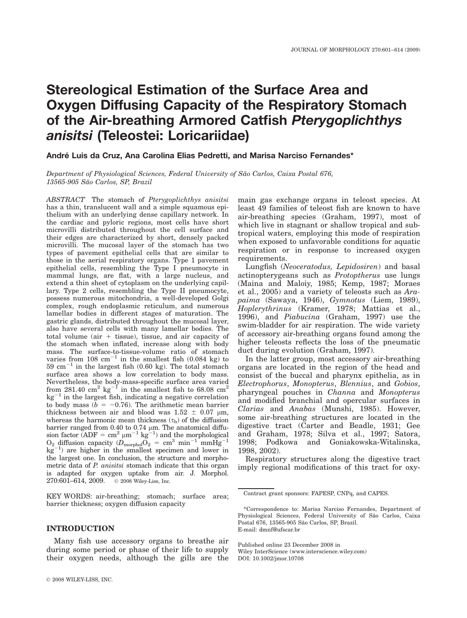# Stereological Estimation of the Surface Area and Oxygen Diffusing Capacity of the Respiratory Stomach of the Air-breathing Armored Catfish Pterygoplichthys anisitsi (Teleostei: Loricariidae)

André Luis da Cruz, Ana Carolina Elias Pedretti, and Marisa Narciso Fernandes\*

Department of Physiological Sciences, Federal University of São Carlos, Caixa Postal 676, 13565-905 São Carlos, SP, Brazil

ABSTRACT The stomach of Pterygoplichthys anisitsi has a thin, translucent wall and a simple squamous epithelium with an underlying dense capillary network. In the cardiac and pyloric regions, most cells have short microvilli distributed throughout the cell surface and their edges are characterized by short, densely packed microvilli. The mucosal layer of the stomach has two types of pavement epithelial cells that are similar to those in the aerial respiratory organs. Type 1 pavement epithelial cells, resembling the Type I pneumocyte in mammal lungs, are flat, with a large nucleus, and extend a thin sheet of cytoplasm on the underlying capillary. Type 2 cells, resembling the Type II pneumocyte, possess numerous mitochondria, a well-developed Golgi complex, rough endoplasmic reticulum, and numerous lamellar bodies in different stages of maturation. The gastric glands, distributed throughout the mucosal layer, also have several cells with many lamellar bodies. The total volume (air  $+$  tissue), tissue, and air capacity of the stomach when inflated, increase along with body mass. The surface-to-tissue-volume ratio of stomach varies from  $108 \text{ cm}^{-1}$  in the smallest fish (0.084 kg) to  $59 \text{ cm}^{-1}$  in the largest fish (0.60 kg). The total stomach surface area shows a low correlation to body mass. Nevertheless, the body-mass-specific surface area varied from 281.40  $\text{cm}^2 \text{ kg}^{-1}$  in the smallest fish to 68.08  $\text{cm}^2$  $kg^{-1}$  in the largest fish, indicating a negative correlation to body mass ( $\bar{b} = -0.76$ ). The arithmetic mean barrier thickness between air and blood was  $1.52 \pm 0.07$  µm, whereas the harmonic mean thickness  $(\tau_h)$  of the diffusion barrier ranged from 0.40 to 0.74  $\mu$ m. The anatomical diffusion factor (ADF = cm<sup>2</sup>  $\mu$ m<sup>-1</sup> kg<sup>-1</sup>) and the morphological  $O_2$  diffusion capacity ( $D_{\text{morphol}}O_2$  = cm<sup>3</sup> min<sup>-1</sup> mmHg<sup>-1</sup>  $kg^{-1}$ ) are higher in the smallest specimen and lower in the largest one. In conclusion, the structure and morphometric data of P. anisitsi stomach indicate that this organ is adapted for oxygen uptake from air. J. Morphol. 270:601-614, 2009. 2008 Wiley-Liss, Inc.

KEY WORDS: air-breathing; stomach; surface area; barrier thickness; oxygen diffusion capacity

## INTRODUCTION

Many fish use accessory organs to breathe air during some period or phase of their life to supply their oxygen needs, although the gills are the

main gas exchange organs in teleost species. At least 49 families of teleost fish are known to have air-breathing species (Graham, 1997), most of which live in stagnant or shallow tropical and subtropical waters, employing this mode of respiration when exposed to unfavorable conditions for aquatic respiration or in response to increased oxygen requirements.

Lungfish (Neoceratodus, Lepidosiren) and basal actinopterygeans such as Protoptherus use lungs (Maina and Maloiy, 1985; Kemp, 1987; Moraes et al., 2005) and a variety of teleosts such as Arapaima (Sawaya, 1946), Gymnotus (Liem, 1989), Hoplerythrinus (Kramer, 1978; Mattias et al., 1996), and Piabucina (Graham, 1997) use the swim-bladder for air respiration. The wide variety of accessory air-breathing organs found among the higher teleosts reflects the loss of the pneumatic duct during evolution (Graham, 1997).

In the latter group, most accessory air-breathing organs are located in the region of the head and consist of the buccal and pharynx epithelia, as in Electrophorus, Monopterus, Blennius, and Gobios, pharyngeal pouches in Channa and Monopterus and modified branchial and opercular surfaces in Clarias and Anabas (Munshi, 1985). However, some air-breathing structures are located in the digestive tract (Carter and Beadle, 1931; Gee and Graham, 1978; Silva et al., 1997; Satora, 1998; Podkowa and Goniakowska-Witalinska, 1998, 2002).

Respiratory structures along the digestive tract imply regional modifications of this tract for oxy-

Published online 23 December 2008 in

Wiley InterScience (www.interscience.wiley.com) DOI: 10.1002/jmor.10708

Contract grant sponsors: FAPESP, CNPq, and CAPES.

<sup>\*</sup>Correspondence to: Marisa Narciso Fernandes, Department of Physiological Sciences, Federal University of São Carlos, Caixa Postal 676, 13565-905 São Carlos, SP, Brazil. E-mail: dmnf@ufscar.br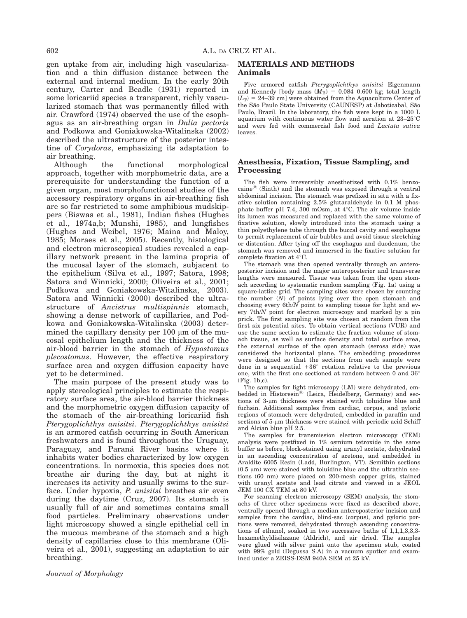gen uptake from air, including high vascularization and a thin diffusion distance between the external and internal medium. In the early 20th century, Carter and Beadle (1931) reported in some loricariid species a transparent, richly vascularized stomach that was permanently filled with air. Crawford (1974) observed the use of the esophagus as an air-breathing organ in Dalia pectoris and Podkowa and Goniakowska-Witalinska (2002) described the ultrastructure of the posterior intestine of Corydoras, emphasizing its adaptation to air breathing.

Although the functional morphological approach, together with morphometric data, are a prerequisite for understanding the function of a given organ, most morphofunctional studies of the accessory respiratory organs in air-breathing fish are so far restricted to some amphibious mudskippers (Biswas et al., 1981), Indian fishes (Hughes et al., 1974a,b; Munshi, 1985), and lungfishes (Hughes and Weibel, 1976; Maina and Maloy, 1985; Moraes et al., 2005). Recently, histological and electron microscopical studies revealed a capillary network present in the lamina propria of the mucosal layer of the stomach, subjacent to the epithelium (Silva et al., 1997; Satora, 1998; Satora and Winnicki, 2000; Oliveira et al., 2001; Podkowa and Goniakowska-Witalinska, 2003). Satora and Winnicki (2000) described the ultrastructure of *Ancistrus multispinnis* stomach, showing a dense network of capillaries, and Podkowa and Goniakowska-Witalinska (2003) determined the capillary density per  $100 \mu m$  of the mucosal epithelium length and the thickness of the air-blood barrier in the stomach of Hypostomus plecostomus. However, the effective respiratory surface area and oxygen diffusion capacity have yet to be determined.

The main purpose of the present study was to apply stereological principles to estimate the respiratory surface area, the air-blood barrier thickness and the morphometric oxygen diffusion capacity of the stomach of the air-breathing loricariid fish Pterygoplichthys anisitsi. Pterygoplichthys anisitsi is an armored catfish occurring in South American freshwaters and is found throughout the Uruguay, Paraguay, and Paraná River basins where it inhabits water bodies characterized by low oxygen concentrations. In normoxia, this species does not breathe air during the day, but at night it increases its activity and usually swims to the surface. Under hypoxia, P. anisitsi breathes air even during the daytime (Cruz, 2007). Its stomach is usually full of air and sometimes contains small food particles. Preliminary observations under light microscopy showed a single epithelial cell in the mucous membrane of the stomach and a high density of capillaries close to this membrane (Oliveira et al., 2001), suggesting an adaptation to air breathing.

# MATERIALS AND METHODS Animals

Five armored catfish Pterygoplichthys anisitsi Eigenmann and Kennedy [body mass  $(M_B) = 0.084 - 0.600$  kg; total length  $(L_T) = 24-39$  cm] were obtained from the Aquaculture Center of the São Paulo State University (CAUNESP) at Jaboticabal, São Paulo, Brazil. In the laboratory, the fish were kept in a 1000 L aquarium with continuous water flow and aeration at  $23-25^{\circ}\text{C}$ and were fed with commercial fish food and Lactuta sativa leaves.

## Anesthesia, Fixation, Tissue Sampling, and Processing

The fish were irreversibly anesthetized with 0.1% benzocaine<sup>®</sup> (Sinth) and the stomach was exposed through a ventral abdominal incision. The stomach was prefixed in situ with a fixative solution containing 2.5% glutaraldehyde in 0.1 M phosphate buffer pH 7.4, 300 mOsm, at  $4^{\circ}$ C. The air volume inside its lumen was measured and replaced with the same volume of fixative solution, slowly introduced into the stomach using a thin polyethylene tube through the buccal cavity and esophagus to permit replacement of air bubbles and avoid tissue stretching or distention. After tying off the esophagus and duodenum, the stomach was removed and immersed in the fixative solution for complete fixation at 4°C.

The stomach was then opened ventrally through an anteroposterior incision and the major anteroposterior and transverse lengths were measured. Tissue was taken from the open stomach according to systematic random sampling (Fig. 1a) using a square-lattice grid. The sampling sites were chosen by counting the number  $(N)$  of points lying over the open stomach and choosing every  $6th/N$  point to sampling tissue for light and every 7th/N point for electron microscopy and marked by a pin prick. The first sampling site was chosen at random from the first six potential sites. To obtain vertical sections (VUR) and use the same section to estimate the fraction volume of stomach tissue, as well as surface density and total surface area, the external surface of the open stomach (serosa side) was considered the horizontal plane. The embedding procedures were designed so that the sections from each sample were done in a sequential  $+36^{\circ}$  rotation relative to the previous one, with the first one sectioned at random between 0 and  $36^{\circ}$ (Fig. 1b,c).

The samples for light microscopy (LM) were dehydrated, embedded in  $H$ istoresin<sup>®</sup> (Leica, Heidelberg, Germany) and sections of 3-µm thickness were stained with toluidine blue and fuchsin. Additional samples from cardiac, corpus, and pyloric regions of stomach were dehydrated, embedded in paraffin and sections of 5-µm thickness were stained with periodic acid Schiff and Alcian blue pH 2.5.

The samples for transmission electron microscopy (TEM) analysis were postfixed in 1% osmium tetroxide in the same buffer as before, block-stained using uranyl acetate, dehydrated in an ascending concentration of acetone, and embedded in Araldite 6005 Resin (Ladd, Burlington, VT). Semithin sections  $(0.5 \mu m)$  were stained with toluidine blue and the ultrathin sections (60 nm) were placed on 200-mesh copper grids, stained with uranyl acetate and lead citrate and viewed in a JEOL JEM 100 CX TEM at 80 kV.

For scanning electron microscopy (SEM) analysis, the stomachs of three other specimens were fixed as described above, ventrally opened through a median anteroposterior incision and samples from the cardiac, blind-sac (corpus), and pyloric portions were removed, dehydrated through ascending concentrations of ethanol, soaked in two successive baths of 1,1,1,3,3,3 hexamethyldisilazane (Aldrich), and air dried. The samples were glued with silver paint onto the specimen stub, coated with 99% gold (Degussa S.A) in a vacuum sputter and examined under a ZEISS-DSM 940A SEM at 25 kV.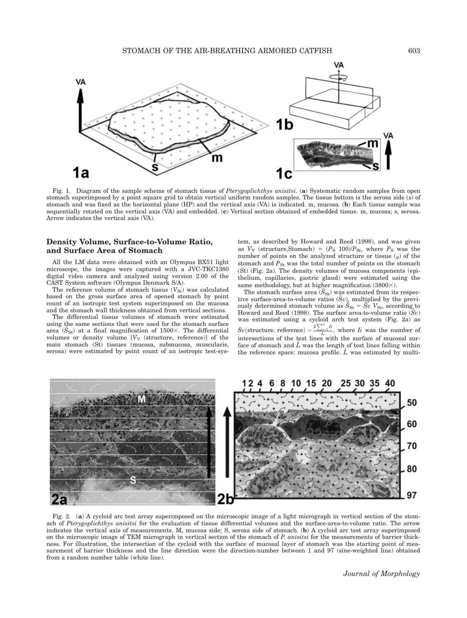

Fig. 1. Diagram of the sample scheme of stomach tissue of Pterygoplichthys anisitsi. (a) Systematic random samples from open stomach superimposed by a point square grid to obtain vertical uniform random samples. The tissue bottom is the serosa side (s) of stomach and was fixed as the horizontal plane (HP) and the vertical axis (VA) is indicated. m, mucosa. (b) Each tissue sample was sequentially rotated on the vertical axis (VA) and embedded. (c) Vertical section obtained of embedded tissue. m, mucosa; s, serosa. Arrow indicates the vertical axis (VA).

## Density Volume, Surface-to-Volume Ratio, and Surface Area of Stomach

All the LM data were obtained with an Olympus BX51 light microscope, the images were captured with a JVC-TKC1380 digital video camera and analyzed using version 2.00 of the CAST System software (Olympus Denmark S/A).

The reference volume of stomach tissue  $(V_{\text{St}})$  was calculated based on the gross surface area of opened stomach by point count of an isotropic test system superimposed on the mucosa and the stomach wall thickness obtained from vertical sections.

The differential tissue volumes of stomach were estimated using the same sections that were used for the stomach surface area ( $S_{\text{St}}$ ) at a final magnification of 1500 $\times$ . The differential volumes or density volume  $[V_V \text{ (structure, reference)}]$  of the main stomach (St) tissues (mucosa, submucosa, muscularis, serosa) were estimated by point count of an isotropic test-system, as described by Howard and Reed (1998), and was given as  $V_V$  (structure,Stomach) =  $(P_S \ 100)/P_{St}$ , where  $P_S$  was the number of points on the analyzed structure or tissue  $(s)$  of the stomach and  $P_{\text{St}}$  was the total number of points on the stomach (St) (Fig. 2a). The density volumes of mucosa components (epithelium, capillaries, gastric gland) were estimated using the same methodology, but at higher magnification  $(3800\times)$ .

The stomach surface area  $(S_{St})$  was estimated from its respective surface-area-to-volume ratios  $(\hat{S}v)$ , multiplied by the previously determined stomach volume as  $\hat{S}_{\text{St}} = \hat{S}v$  V<sub>St</sub>, according to Howard and Reed (1998). The surface area-to-volume ratio  $(Sv)$ was estimated using a cycloid arch test system (Fig. 2a) as  $\hat{S}v$ (structure, reference) =  $\frac{2\sum_{i=1}^{n}h}{L}$ , where *Ii* was the number of intersections of the test lines with the surface of mucosal surface of stomach and  $\tilde{L}$  was the length of test lines falling within the reference space: mucosa profile.  $\hat{L}$  was estimated by multi-



Fig. 2. (a) A cycloid arc test array superimposed on the microscopic image of a light micrograph in vertical section of the stomach of Pterygoplichthys anisitsi for the evaluation of tissue differential volumes and the surface-area-to-volume ratio. The arrow indicates the vertical axis of measurements. M, mucosa side; S, serosa side of stomach. (b) A cycloid arc test array superimposed on the microscopic image of TEM micrograph in vertical section of the stomach of P. anisitsi for the measurements of barrier thickness. For illustration, the intersection of the cycloid with the surface of mucosal layer of stomach was the starting point of measurement of barrier thickness and the line direction were the direction-number between 1 and 97 (sine-weighted line) obtained from a random number table (white line).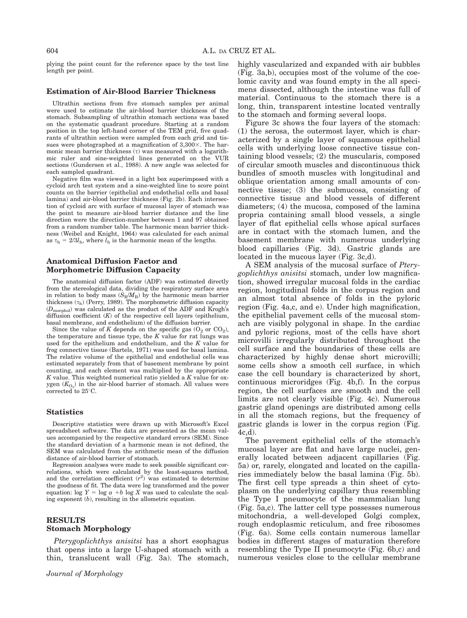plying the point count for the reference space by the test line length per point.

#### Estimation of Air-Blood Barrier Thickness

Ultrathin sections from five stomach samples per animal were used to estimate the air-blood barrier thickness of the stomach. Subsampling of ultrathin stomach sections was based on the systematic quadrant procedure. Starting at a random position in the top left-hand corner of the TEM grid, five quadrants of ultrathin section were sampled from each grid and tissues were photographed at a magnification of  $3,300\times$ . The harmonic mean barrier thickness  $(\tau)$  was measured with a logarithmic ruler and sine-weighted lines generated on the VUR sections (Gundersen et al., 1988). A new angle was selected for each sampled quadrant.

Negative film was viewed in a light box superimposed with a cycloid arch test system and a sine-weighted line to score point counts on the barrier (epithelial and endothelial cells and basal lamina) and air-blood barrier thickness (Fig. 2b). Each intersection of cycloid arc with surface of mucosal layer of stomach was the point to measure air-blood barrier distance and the line direction were the direction-number between 1 and 97 obtained from a random number table. The harmonic mean barrier thickness (Weibel and Knight, 1964) was calculated for each animal as  $\tau_h = 2/3l_h$ , where  $l_h$  is the harmonic mean of the lengths.

## Anatomical Diffusion Factor and Morphometric Diffusion Capacity

The anatomical diffusion factor (ADF) was estimated directly from the stereological data, dividing the respiratory surface area in relation to body mass  $(S_{\rm R}/M_{\rm B})$  by the harmonic mean barrier thickness  $(\tau_h)$  (Perry, 1989). The morphometric diffusion capacity  $(D_{\text{morphol}})$  was calculated as the product of the ADF and Krogh's diffusion coefficient  $(K)$  of the respective cell layers (epithelium, basal membrane, and endothelium) of the diffusion barrier.

Since the value of K depends on the specific gas  $(O_2 \text{ or } CO_2)$ , the temperature and tissue type, the  $K$  value for rat lungs was used for the epithelium and endothelium, and the  $K$  value for frog connective tissue (Bartels, 1971) was used for basal lamina. The relative volume of the epithelial and endothelial cells was estimated separately from that of basement membrane by point counting, and each element was multiplied by the appropriate  $K$  value. This weighted numerical ratio yielded a  $K$  value for oxygen  $(K_{\mathrm{O}_2})$  in the air-blood barrier of stomach. All values were corrected to  $25^{\circ}$ C.

#### **Statistics**

Descriptive statistics were drawn up with Microsoft's Excel spreadsheet software. The data are presented as the mean values accompanied by the respective standard errors (SEM). Since the standard deviation of a harmonic mean is not defined, the SEM was calculated from the arithmetic mean of the diffusion distance of air-blood barrier of stomach.

Regression analyses were made to seek possible significant correlations, which were calculated by the least-squares method, and the correlation coefficient  $(r^2)$  was estimated to determine the goodness of fit. The data were log transformed and the power equation:  $\log Y = \log a + b \log X$  was used to calculate the scaling exponent (b), resulting in the allometric equation.

## RESULTS Stomach Morphology

Pterygoplichthys anisitsi has a short esophagus that opens into a large U-shaped stomach with a thin, translucent wall (Fig. 3a). The stomach, highly vascularized and expanded with air bubbles (Fig. 3a,b), occupies most of the volume of the coelomic cavity and was found empty in the all specimens dissected, although the intestine was full of material. Continuous to the stomach there is a long, thin, transparent intestine located ventrally to the stomach and forming several loops.

Figure 3c shows the four layers of the stomach: (1) the serosa, the outermost layer, which is characterized by a single layer of squamous epithelial cells with underlying loose connective tissue containing blood vessels; (2) the muscularis, composed of circular smooth muscles and discontinuous thick bundles of smooth muscles with longitudinal and oblique orientation among small amounts of connective tissue; (3) the submucosa, consisting of connective tissue and blood vessels of different diameters; (4) the mucosa, composed of the lamina propria containing small blood vessels, a single layer of flat epithelial cells whose apical surfaces are in contact with the stomach lumen, and the basement membrane with numerous underlying blood capillaries (Fig. 3d). Gastric glands are located in the mucous layer (Fig. 3c,d).

A SEM analysis of the mucosal surface of Pterygoplichthys anisitsi stomach, under low magnification, showed irregular mucosal folds in the cardiac region, longitudinal folds in the corpus region and an almost total absence of folds in the pyloric region (Fig. 4a,c, and e). Under high magnification, the epithelial pavement cells of the mucosal stomach are visibly polygonal in shape. In the cardiac and pyloric regions, most of the cells have short microvilli irregularly distributed throughout the cell surface and the boundaries of these cells are characterized by highly dense short microvilli; some cells show a smooth cell surface, in which case the cell boundary is characterized by short, continuous microridges (Fig. 4b,f). In the corpus region, the cell surfaces are smooth and the cell limits are not clearly visible (Fig. 4c). Numerous gastric gland openings are distributed among cells in all the stomach regions, but the frequency of gastric glands is lower in the corpus region (Fig. 4c,d).

The pavement epithelial cells of the stomach's mucosal layer are flat and have large nuclei, generally located between adjacent capillaries (Fig. 5a) or, rarely, elongated and located on the capillaries immediately below the basal lamina (Fig. 5b). The first cell type spreads a thin sheet of cytoplasm on the underlying capillary thus resembling the Type I pneumocyte of the mammalian lung (Fig. 5a,c). The latter cell type possesses numerous mitochondria, a well-developed Golgi complex, rough endoplasmic reticulum, and free ribosomes (Fig. 6a). Some cells contain numerous lamellar bodies in different stages of maturation therefore resembling the Type II pneumocyte (Fig. 6b,c) and numerous vesicles close to the cellular membrane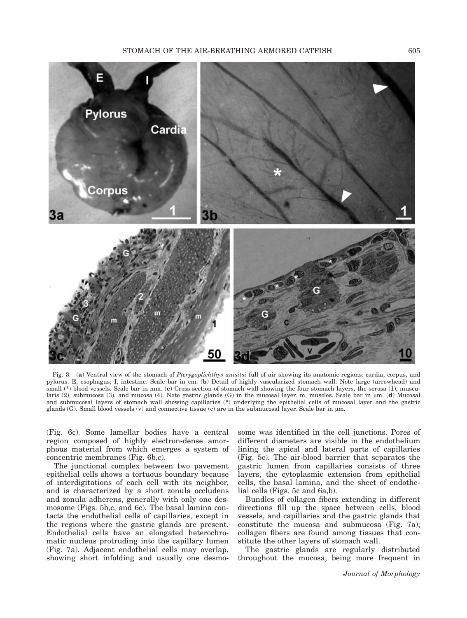

Fig. 3. (a) Ventral view of the stomach of Pterygoplichthys anisitsi full of air showing its anatomic regions: cardia, corpus, and pylorus. E, esophagus; I, intestine. Scale bar in cm. (b) Detail of highly vascularized stomach wall. Note large (arrowhead) and small (\*) blood vessels. Scale bar in mm. (c) Cross section of stomach wall showing the four stomach layers, the serosa (1), muscularis (2), submucosa (3), and mucosa (4). Note gastric glands (G) in the mucosal layer. m, muscles. Scale bar in lm. (d) Mucosal and submucosal layers of stomach wall showing capillaries (\*) underlying the epithelial cells of mucosal layer and the gastric glands  $(G)$ . Small blood vessels  $(v)$  and connective tissue  $(c)$  are in the submucosal layer. Scale bar in  $\mu$ m.

(Fig. 6c). Some lamellar bodies have a central region composed of highly electron-dense amorphous material from which emerges a system of concentric membranes (Fig. 6b,c).

The junctional complex between two pavement epithelial cells shows a tortuous boundary because of interdigitations of each cell with its neighbor, and is characterized by a short zonula occludens and zonula adherens, generally with only one desmosome (Figs. 5b,c, and 6c). The basal lamina contacts the endothelial cells of capillaries, except in the regions where the gastric glands are present. Endothelial cells have an elongated heterochromatic nucleus protruding into the capillary lumen (Fig. 7a). Adjacent endothelial cells may overlap, showing short infolding and usually one desmo-

some was identified in the cell junctions. Pores of different diameters are visible in the endothelium lining the apical and lateral parts of capillaries (Fig. 5c). The air-blood barrier that separates the gastric lumen from capillaries consists of three layers, the cytoplasmic extension from epithelial cells, the basal lamina, and the sheet of endothelial cells (Figs. 5c and 6a,b).

Bundles of collagen fibers extending in different directions fill up the space between cells, blood vessels, and capillaries and the gastric glands that constitute the mucosa and submucosa (Fig. 7a); collagen fibers are found among tissues that constitute the other layers of stomach wall.

The gastric glands are regularly distributed throughout the mucosa, being more frequent in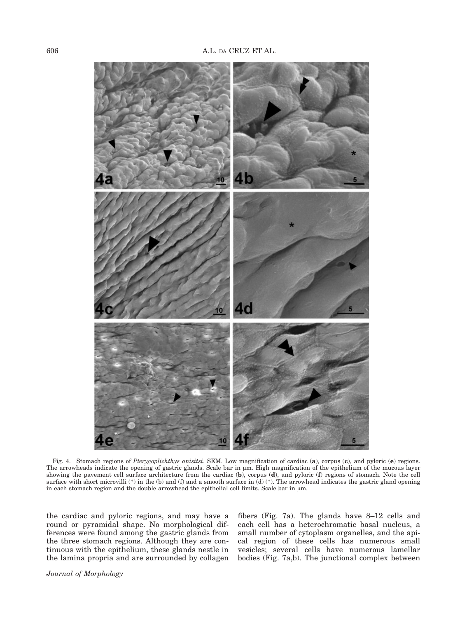

Fig. 4. Stomach regions of Pterygoplichthys anisitsi. SEM. Low magnification of cardiac (a), corpus (c), and pyloric (e) regions. The arrowheads indicate the opening of gastric glands. Scale bar in  $\mu$ m. High magnification of the epithelium of the mucous layer showing the pavement cell surface architecture from the cardiac (b), corpus (d), and pyloric (f) regions of stomach. Note the cell surface with short microvilli (\*) in the (b) and (f) and a smooth surface in (d) (\*). The arrowhead indicates the gastric gland opening in each stomach region and the double arrowhead the epithelial cell limits. Scale bar in  $\mu$ m.

the cardiac and pyloric regions, and may have a round or pyramidal shape. No morphological differences were found among the gastric glands from the three stomach regions. Although they are continuous with the epithelium, these glands nestle in the lamina propria and are surrounded by collagen fibers (Fig. 7a). The glands have 8–12 cells and each cell has a heterochromatic basal nucleus, a small number of cytoplasm organelles, and the apical region of these cells has numerous small vesicles; several cells have numerous lamellar bodies (Fig. 7a,b). The junctional complex between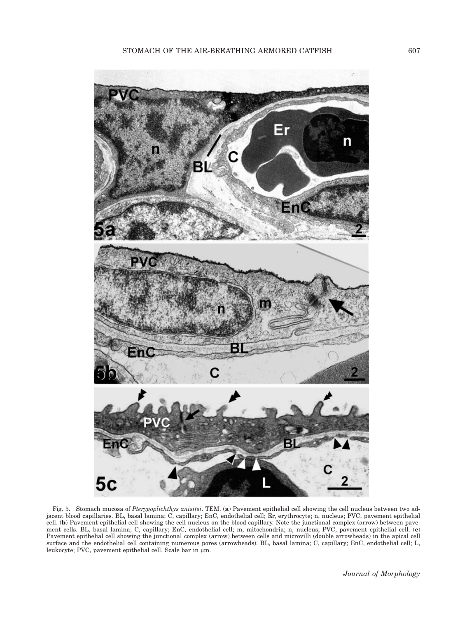

Fig. 5. Stomach mucosa of Pterygoplichthys anisitsi. TEM. (a) Pavement epithelial cell showing the cell nucleus between two adjacent blood capillaries. BL, basal lamina; C, capillary; EnC, endothelial cell; Er, erythrocyte; n, nucleus; PVC, pavement epithelial cell. (b) Pavement epithelial cell showing the cell nucleus on the blood capillary. Note the junctional complex (arrow) between pavement cells. BL, basal lamina; C, capillary; EnC, endothelial cell; m, mitochondria; n, nucleus; PVC, pavement epithelial cell. (c) Pavement epithelial cell showing the junctional complex (arrow) between cells and microvilli (double arrowheads) in the apical cell surface and the endothelial cell containing numerous pores (arrowheads). BL, basal lamina; C, capillary; EnC, endothelial cell; L, leukocyte; PVC, pavement epithelial cell. Scale bar in um.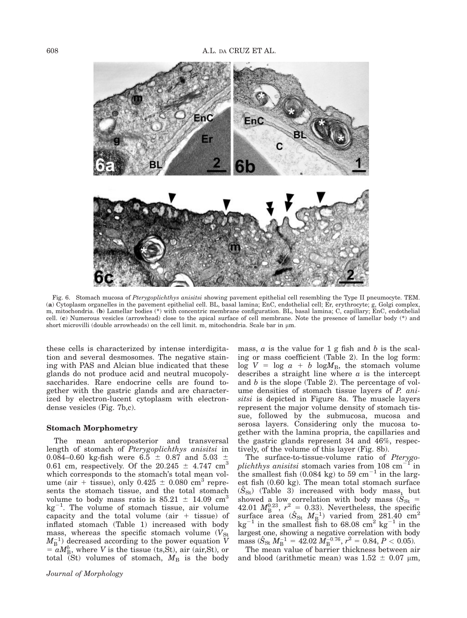![](_page_7_Figure_2.jpeg)

Fig. 6. Stomach mucosa of Pterygoplichthys anisitsi showing pavement epithelial cell resembling the Type II pneumocyte. TEM. (a) Cytoplasm organelles in the pavement epithelial cell. BL, basal lamina; EnC, endothelial cell; Er, erythrocyte; g, Golgi complex, m, mitochondria. (b) Lamellar bodies (\*) with concentric membrane configuration. BL, basal lamina; C, capillary; EnC, endothelial cell. (c) Numerous vesicles (arrowhead) close to the apical surface of cell membrane. Note the presence of lamellar body (\*) and short microvilli (double arrowheads) on the cell limit. m, mitochondria. Scale bar in  $\mu$ m.

these cells is characterized by intense interdigitation and several desmosomes. The negative staining with PAS and Alcian blue indicated that these glands do not produce acid and neutral mucopolysaccharides. Rare endocrine cells are found together with the gastric glands and are characterized by electron-lucent cytoplasm with electrondense vesicles (Fig. 7b,c).

#### Stomach Morphometry

The mean anteroposterior and transversal length of stomach of Pterygoplichthys anisitsi in 0.084–0.60 kg-fish were 6.5  $\pm$  0.87 and 5.03  $\pm$ 0.61 cm, respectively. Of the 20.245  $\pm$  4.747 cm<sup>3</sup> which corresponds to the stomach's total mean volume (air + tissue), only  $0.425 \pm 0.080$  cm<sup>3</sup> represents the stomach tissue, and the total stomach volume to body mass ratio is  $85.21 \pm 14.09$  cm<sup>3</sup>  $kg^{-1}$ . The volume of stomach tissue, air volume capacity and the total volume (air  $+$  tissue) of inflated stomach (Table 1) increased with body mass, whereas the specific stomach volume  $(V_{\text{St}})$  $(M_{\rm B}^{-1})$  decreased according to the power equation V  $= aM_{\rm B}^b$ , where V is the tissue (ts,St), air (air,St), or total  $(Kt)$  volumes of stomach,  $M_B$  is the body

mass,  $a$  is the value for 1 g fish and  $b$  is the scaling or mass coefficient (Table 2). In the log form:  $\log V = \log a + b \log M_B$ , the stomach volume describes a straight line where  $a$  is the intercept and  $b$  is the slope (Table 2). The percentage of volume densities of stomach tissue layers of P. anisitsi is depicted in Figure 8a. The muscle layers represent the major volume density of stomach tissue, followed by the submucosa, mucosa and serosa layers. Considering only the mucosa together with the lamina propria, the capillaries and the gastric glands represent 34 and 46%, respectively, of the volume of this layer (Fig. 8b).

The surface-to-tissue-volume ratio of Pterygoplichthys anisitsi stomach varies from 108  $\text{cm}^{-1}$  in the smallest fish  $(0.084 \text{ kg})$  to 59 cm<sup>-1</sup> in the largest fish (0.60 kg). The mean total stomach surface  $(S_{St})$  (Table 3) increased with body mass, but showed a low correlation with body mass  $(\hat{S}_{\text{St}}$  = 42.01  $M_{\rm B}^{0.23}$ ,  $r^2 = 0.33$ ). Nevertheless, the specific surface area  $(S_{\text{St}} M_B^{-1})$  varied from 281.40 cm<sup>2</sup>  $kg^{-1}$  in the smallest fish to 68.08 cm<sup>2</sup> kg<sup>-1</sup> in the largest one, showing a negative correlation with body mass  $(\hat{S}_{\text{St}} M_{\text{B}}^{-1} = 42.02 M_{\text{B}}^{-0.76}, r^2 = 0.84, P < 0.05)$ .

The mean value of barrier thickness between air and blood (arithmetic mean) was  $1.52 \pm 0.07$  µm,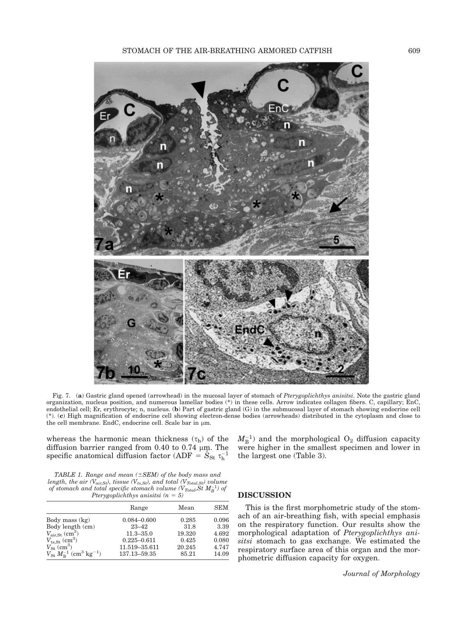![](_page_8_Figure_2.jpeg)

Fig. 7. (a) Gastric gland opened (arrowhead) in the mucosal layer of stomach of Pterygoplichthys anisitsi. Note the gastric gland organization, nucleus position, and numerous lamellar bodies (\*) in these cells. Arrow indicates collagen fibers. C, capillary; EnC, endothelial cell; Er, erythrocyte; n, nucleus. (b) Part of gastric gland (G) in the submucosal layer of stomach showing endocrine cell (\*). (c) High magnification of endocrine cell showing electron-dense bodies (arrowheads) distributed in the cytoplasm and close to the cell membrane. EndC, endocrine cell. Scale bar in  $\mu$ m.

whereas the harmonic mean thickness  $(\tau_h)$  of the diffusion barrier ranged from 0.40 to 0.74  $\mu$ m. The specific anatomical diffusion factor (ADF =  $\hat{S}_{\text{St}} \tau_{\text{h}}^{-1}$ 

TABLE 1. Range and mean  $(\pm SEM)$  of the body mass and length, the air  $(V_{air,St})$ , tissue  $(V_{ts,St})$ , and total  $(V_{Total,St})$  volume of stomach and total specific stomach volume  $(V_{Total}, St M_B^{-1})$  of<br>Pterygoplichthys anisitsi (n = 5)

|                                                                 | Range           | Mean   | <b>SEM</b> |
|-----------------------------------------------------------------|-----------------|--------|------------|
| Body mass (kg)                                                  | $0.084 - 0.600$ | 0.285  | 0.096      |
| Body length (cm)                                                | $23 - 42$       | 31.8   | 3.39       |
| $V_{\rm air, St}\ (\rm cm^3)$                                   | $11.3 - 35.0$   | 19.320 | 4.692      |
| $V_{\text{ts,St}}\text{ (cm}^3)$                                | $0.225 - 0.611$ | 0.425  | 0.080      |
| $V_{\rm St}$ (cm <sup>3</sup> )                                 | 11.519-35.611   | 20.245 | 4.747      |
| $V_{\rm St} M_{\rm B}^{-1}$ (cm <sup>3</sup> kg <sup>-1</sup> ) | 137.13-59.35    | 85.21  | 14.09      |

 $M_B^{-1}$ ) and the morphological  $O_2$  diffusion capacity were higher in the smallest specimen and lower in the largest one (Table 3).

# DISCUSSION

This is the first morphometric study of the stomach of an air-breathing fish, with special emphasis on the respiratory function. Our results show the morphological adaptation of Pterygoplichthys anisitsi stomach to gas exchange. We estimated the respiratory surface area of this organ and the morphometric diffusion capacity for oxygen.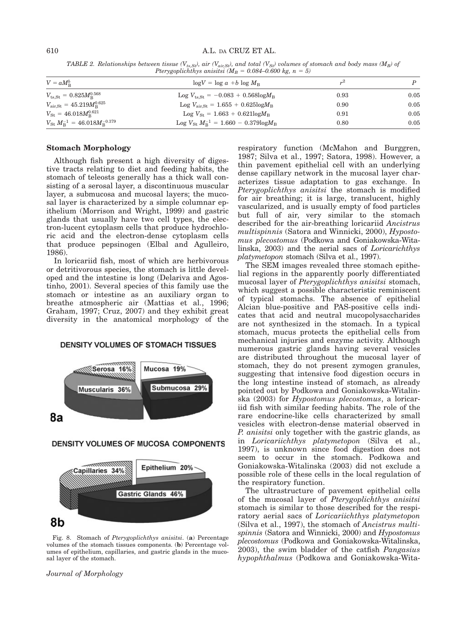TABLE 2. Relationships between tissue (V<sub>ts,St</sub>), air (V<sub>air,St</sub>), and total (V<sub>St</sub>) volumes of stomach and body mass (M<sub>B</sub>) of Pterygoplichthys anisitsi ( $M_B = 0.084$ –0.600 kg, n = 5)

| $V = aM_{\rm p}^b$                                      | $\log V = \log a + b \log M_{\rm B}$                            |      |      |
|---------------------------------------------------------|-----------------------------------------------------------------|------|------|
| $V_{\rm ts, St} = 0.825 M_{\rm B}^{0.568}$              | Log $V_{\text{ts,St}} = -0.083 + 0.568 \text{log} M_{\text{B}}$ | 0.93 | 0.05 |
| $V_{\rm air, St} = 45.219 M_{\rm B}^{0.625}$            | Log $V_{\text{air,St}} = 1.655 + 0.625 \text{log} M_{\text{B}}$ | 0.90 | 0.05 |
| $V_{\mathrm{St}} = 46.018 M_{\mathrm{R}}^{0.621}$       | Log $V_{\rm St} = 1.663 + 0.621 \log M_{\rm B}$                 | 0.91 | 0.05 |
| $V_{\rm St} M_{\rm B}^{-1} = 46.018 M_{\rm B}^{-0.379}$ | Log $V_{\rm St} M_{\rm B}^{-1} = 1.660 - 0.379 \log M_{\rm B}$  | 0.80 | 0.05 |

## Stomach Morphology

Although fish present a high diversity of digestive tracts relating to diet and feeding habits, the stomach of teleosts generally has a thick wall consisting of a serosal layer, a discontinuous muscular layer, a submucosa and mucosal layers; the mucosal layer is characterized by a simple columnar epithelium (Morrison and Wright, 1999) and gastric glands that usually have two cell types, the electron-lucent cytoplasm cells that produce hydrochloric acid and the electron-dense cytoplasm cells that produce pepsinogen (Elbal and Agulleiro, 1986).

In loricariid fish, most of which are herbivorous or detritivorous species, the stomach is little developed and the intestine is long (Delariva and Agostinho, 2001). Several species of this family use the stomach or intestine as an auxiliary organ to breathe atmospheric air (Mattias et al., 1996; Graham, 1997; Cruz, 2007) and they exhibit great diversity in the anatomical morphology of the

## DENSITY VOLUMES OF STOMACH TISSUES

![](_page_9_Figure_7.jpeg)

# DENSITY VOLUMES OF MUCOSA COMPONENTS

![](_page_9_Figure_9.jpeg)

Fig. 8. Stomach of Pterygoplichthys anisitsi. (a) Percentage volumes of the stomach tissues components. (b) Percentage volumes of epithelium, capillaries, and gastric glands in the mucosal layer of the stomach.

Journal of Morphology

respiratory function (McMahon and Burggren, 1987; Silva et al., 1997; Satora, 1998). However, a thin pavement epithelial cell with an underlying dense capillary network in the mucosal layer characterizes tissue adaptation to gas exchange. In Pterygoplichthys anisitsi the stomach is modified for air breathing; it is large, translucent, highly vascularized, and is usually empty of food particles but full of air, very similar to the stomach described for the air-breathing loricariid Ancistrus multispinnis (Satora and Winnicki, 2000), Hypostomus plecostomus (Podkowa and Goniakowska-Witalinska, 2003) and the aerial sacs of Loricarichthys platymetopon stomach (Silva et al., 1997).

The SEM images revealed three stomach epithelial regions in the apparently poorly differentiated mucosal layer of Pterygoplichthys anisitsi stomach, which suggest a possible characteristic reminiscent of typical stomachs. The absence of epithelial Alcian blue-positive and PAS-positive cells indicates that acid and neutral mucopolysaccharides are not synthesized in the stomach. In a typical stomach, mucus protects the epithelial cells from mechanical injuries and enzyme activity. Although numerous gastric glands having several vesicles are distributed throughout the mucosal layer of stomach, they do not present zymogen granules, suggesting that intensive food digestion occurs in the long intestine instead of stomach, as already pointed out by Podkowa and Goniakowska-Witalinska (2003) for Hypostomus plecostomus, a loricariid fish with similar feeding habits. The role of the rare endocrine-like cells characterized by small vesicles with electron-dense material observed in P. anisitsi only together with the gastric glands, as in Loricariichthys platymetopon (Silva et al., 1997), is unknown since food digestion does not seem to occur in the stomach. Podkowa and Goniakowska-Witalinska (2003) did not exclude a possible role of these cells in the local regulation of the respiratory function.

The ultrastructure of pavement epithelial cells of the mucosal layer of Pterygoplichthys anisitsi stomach is similar to those described for the respiratory aerial sacs of Loricariichthys platymetopon (Silva et al., 1997), the stomach of Ancistrus multispinnis (Satora and Winnicki, 2000) and *Hypostomus* plecostomus (Podkowa and Goniakowska-Witalinska, 2003), the swim bladder of the catfish Pangasius hypophthalmus (Podkowa and Goniakowska-Wita-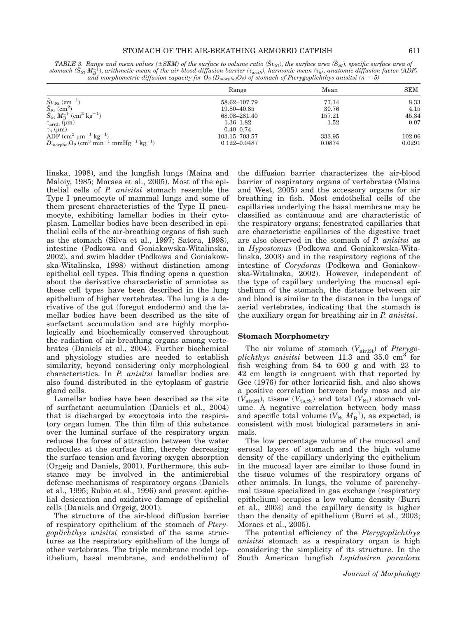#### STOMACH OF THE AIR-BREATHING ARMORED CATFISH 611

|  | I |
|--|---|
|  |   |

TABLE 3. Range and mean values ( $\pm$ SEM) of the surface to volume ratio ( $\hat{S}v_{St}$ ), the surface area ( $\hat{S}_{St}$ ), specific surface area of stomach  $(\hat{S}_{St} M_B^{-1})$ , arithmetic mean of the air-blood diffusion barrier ( $\tau_{arith}$ ), harmonic mean ( $\tau_h$ ), anatomic diffusion factor (ADF)<br>and morphometric diffusion capacity for  $O_2$  ( $D_{morphol}O_2$ ) of stomach of Pteryg

|                                                                                                                                                                     | Range            | Mean   | <b>SEM</b> |
|---------------------------------------------------------------------------------------------------------------------------------------------------------------------|------------------|--------|------------|
| $\begin{array}{l} \hat{S} v_{\rm ,St}\; (\rm cm^{-1})\\ \hat{S}_{\rm St}\; (\rm cm^{2})\\ \hat{S}_{\rm St}\; M_{\rm B}^{-1}\; (\rm cm^{2}\; kg^{-1})\\ \end{array}$ | 58.62-107.79     | 77.14  | 8.33       |
|                                                                                                                                                                     | 19.80 - 40.85    | 30.76  | 4.15       |
|                                                                                                                                                                     | 68.08-281.40     | 157.21 | 45.34      |
| $\tau_{\rm{arith}}$ ( $\mu$ m)                                                                                                                                      | $1.36 - 1.82$    | 1.52   | 0.07       |
| $\tau_{\rm h}$ (µm)                                                                                                                                                 | $0.40 - 0.74$    |        |            |
| ADF $\rm (cm^2 \ \mu m^{-1} \ kg^{-1})$                                                                                                                             | 103.15-703.57    | 333.95 | 102.06     |
| $D_{\text{morphol}}O_2$ (cm <sup>3</sup> min<br>$mmHg^{-1}$ kg <sup>-1</sup> )<br>$-1$ .                                                                            | $0.122 - 0.0487$ | 0.0874 | 0.0291     |

linska, 1998), and the lungfish lungs (Maina and Maloiy, 1985; Moraes et al., 2005). Most of the epithelial cells of P. anisitsi stomach resemble the Type I pneumocyte of mammal lungs and some of them present characteristics of the Type II pneumocyte, exhibiting lamellar bodies in their cytoplasm. Lamellar bodies have been described in epithelial cells of the air-breathing organs of fish such as the stomach (Silva et al., 1997; Satora, 1998), intestine (Podkowa and Goniakowska-Witalinska, 2002), and swim bladder (Podkowa and Goniakowska-Witalinska, 1998) without distinction among epithelial cell types. This finding opens a question about the derivative characteristic of amniotes as these cell types have been described in the lung epithelium of higher vertebrates. The lung is a derivative of the gut (foregut endoderm) and the lamellar bodies have been described as the site of surfactant accumulation and are highly morphologically and biochemically conserved throughout the radiation of air-breathing organs among vertebrates (Daniels et al., 2004). Further biochemical and physiology studies are needed to establish similarity, beyond considering only morphological characteristics. In P. anisitsi lamellar bodies are also found distributed in the cytoplasm of gastric gland cells.

Lamellar bodies have been described as the site of surfactant accumulation (Daniels et al., 2004) that is discharged by exocytosis into the respiratory organ lumen. The thin film of this substance over the luminal surface of the respiratory organ reduces the forces of attraction between the water molecules at the surface film, thereby decreasing the surface tension and favoring oxygen absorption (Orgeig and Daniels, 2001). Furthermore, this substance may be involved in the antimicrobial defense mechanisms of respiratory organs (Daniels et al., 1995; Rubio et al., 1996) and prevent epithelial desiccation and oxidative damage of epithelial cells (Daniels and Orgeig, 2001).

The structure of the air-blood diffusion barrier of respiratory epithelium of the stomach of Pterygoplichthys anisitsi consisted of the same structures as the respiratory epithelium of the lungs of other vertebrates. The triple membrane model (epithelium, basal membrane, and endothelium) of the diffusion barrier characterizes the air-blood barrier of respiratory organs of vertebrates (Maina and West, 2005) and the accessory organs for air breathing in fish. Most endothelial cells of the capillaries underlying the basal membrane may be classified as continuous and are characteristic of the respiratory organs; fenestrated capillaries that are characteristic capillaries of the digestive tract are also observed in the stomach of P. anisitsi as in Hypostomus (Podkowa and Goniakowska-Witalinska, 2003) and in the respiratory regions of the intestine of Corydoras (Podkowa and Goniakowska-Witalinska, 2002). However, independent of the type of capillary underlying the mucosal epithelium of the stomach, the distance between air and blood is similar to the distance in the lungs of aerial vertebrates, indicating that the stomach is the auxiliary organ for breathing air in P. anisitsi.

## Stomach Morphometry

The air volume of stomach  $(V_{\text{air,St}})$  of Pterygoplichthys anisitsi between  $11.3$  and  $35.0 \text{ cm}^3$  for fish weighing from 84 to 600 g and with 23 to 42 cm length is congruent with that reported by Gee (1976) for other loricariid fish, and also shows a positive correlation between body mass and air  $(V_{\text{air,St}})$ , tissue  $(V_{\text{ts,St}})$  and total  $(V_{\text{St}})$  stomach volume. A negative correlation between body mass and specific total volume  $(V_{\text{St}} M_{\text{B}}^{-1})$ , as expected, is consistent with most biological parameters in animals.

The low percentage volume of the mucosal and serosal layers of stomach and the high volume density of the capillary underlying the epithelium in the mucosal layer are similar to those found in the tissue volumes of the respiratory organs of other animals. In lungs, the volume of parenchymal tissue specialized in gas exchange (respiratory epithelium) occupies a low volume density (Burri et al., 2003) and the capillary density is higher than the density of epithelium (Burri et al., 2003; Moraes et al., 2005).

The potential efficiency of the *Pterygoplichthys* anisitsi stomach as a respiratory organ is high considering the simplicity of its structure. In the South American lungfish Lepidosiren paradoxa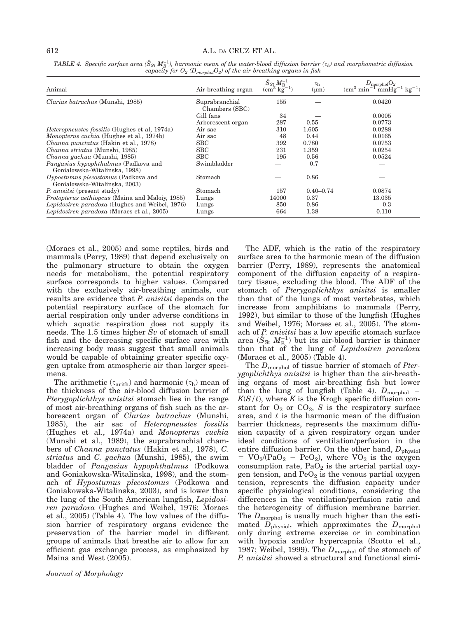| Animal                                                                       | Air-breathing organ              | $\hat{S}_{St} \, M_{\rm B}^{-1}$<br>$\left(\text{cm}^2 \text{ kg}^{-1}\right)$ | $\tau_{\rm h}$<br>$(\mu m)$ | $D_{\text{morphol}}O_2$<br>$\text{cm}^3 \text{ min}^{-1} \text{mmHg}^{-1} \text{ kg}^{-1}$ |
|------------------------------------------------------------------------------|----------------------------------|--------------------------------------------------------------------------------|-----------------------------|--------------------------------------------------------------------------------------------|
| Clarias batrachus (Munshi, 1985)                                             | Suprabranchial<br>Chambers (SBC) | 155                                                                            |                             | 0.0420                                                                                     |
|                                                                              | Gill fans                        | 34                                                                             |                             | 0.0005                                                                                     |
|                                                                              | Arborescent organ                | 287                                                                            | 0.55                        | 0.0773                                                                                     |
| <i>Heteropneustes fossilis</i> (Hughes et al, 1974a)                         | Air sac                          | 310                                                                            | 1.605                       | 0.0288                                                                                     |
| Monopterus cuchia (Hughes et al., 1974b)                                     | Air sac                          | 48                                                                             | 0.44                        | 0.0165                                                                                     |
| Channa punctatus (Hakin et al., 1978)                                        | $_{\rm SBC}$                     | 392                                                                            | 0.780                       | 0.0753                                                                                     |
| Channa striatus (Munshi, 1985)                                               | $_{\rm SBC}$                     | 231                                                                            | 1.359                       | 0.0254                                                                                     |
| Channa gachua (Munshi, 1985)                                                 | $_{\rm SBC}$                     | 195                                                                            | 0.56                        | 0.0524                                                                                     |
| <i>Pangasius hypophthalmus</i> (Padkova and<br>Gonialowska-Witalinska, 1998) | Swimbladder                      |                                                                                | 0.7                         |                                                                                            |
| <i>Hypostumus plecostomus</i> (Padkova and<br>Gonialowska-Witalinska, 2003)  | Stomach                          |                                                                                | 0.86                        |                                                                                            |
| <i>P. anisitsi</i> (present study)                                           | Stomach                          | 157                                                                            | $0.40 - 0.74$               | 0.0874                                                                                     |
| <i>Protopterus aethiopcus</i> (Maina and Maloiy, 1985)                       | Lungs                            | 14000                                                                          | 0.37                        | 13.035                                                                                     |
| <i>Lepidosiren paradoxa</i> (Hughes and Weibel, 1976)                        | Lungs                            | 850                                                                            | 0.86                        | 0.3                                                                                        |
| Lepidosiren paradoxa (Moraes et al., 2005)                                   | Lungs                            | 664                                                                            | 1.38                        | 0.110                                                                                      |

TABLE 4. Specific surface area ( $\hat{S}_{St}$   $M_B^{-1}$ ), harmonic mean of the water-blood diffusion barrier ( $\tau_h$ ) and morphometric diffusion capacity for  $O_2$  ( $D_{morphol}O_2$ ) of the air-breathing organs in fish

(Moraes et al., 2005) and some reptiles, birds and mammals (Perry, 1989) that depend exclusively on the pulmonary structure to obtain the oxygen needs for metabolism, the potential respiratory surface corresponds to higher values. Compared with the exclusively air-breathing animals, our results are evidence that P. anisitsi depends on the potential respiratory surface of the stomach for aerial respiration only under adverse conditions in which aquatic respiration does not supply its needs. The 1.5 times higher  $Sv$  of stomach of small fish and the decreasing specific surface area with increasing body mass suggest that small animals would be capable of obtaining greater specific oxygen uptake from atmospheric air than larger specimens.

The arithmetic ( $\tau_{\text{arith}}$ ) and harmonic ( $\tau_{\text{h}}$ ) mean of the thickness of the air-blood diffusion barrier of Pterygoplichthys anisitsi stomach lies in the range of most air-breathing organs of fish such as the arborescent organ of Clarias batrachus (Munshi, 1985), the air sac of Heteropneustes fossilis (Hughes et al., 1974a) and Monopterus cuchia (Munshi et al., 1989), the suprabranchial chambers of Channa punctatus (Hakin et al., 1978), C. striatus and C. gachua (Munshi, 1985), the swim bladder of Pangasius hypophthalmus (Podkowa and Goniakowska-Witalinska, 1998), and the stomach of Hypostumus plecostomus (Podkowa and Goniakowska-Witalinska, 2003), and is lower than the lung of the South American lungfish, Lepidosiren paradoxa (Hughes and Weibel, 1976; Moraes et al., 2005) (Table 4). The low values of the diffusion barrier of respiratory organs evidence the preservation of the barrier model in different groups of animals that breathe air to allow for an efficient gas exchange process, as emphasized by Maina and West (2005).

The ADF, which is the ratio of the respiratory surface area to the harmonic mean of the diffusion barrier (Perry, 1989), represents the anatomical component of the diffusion capacity of a respiratory tissue, excluding the blood. The ADF of the stomach of Pterygoplichthys anisitsi is smaller than that of the lungs of most vertebrates, which increase from amphibians to mammals (Perry, 1992), but similar to those of the lungfish (Hughes and Weibel, 1976; Moraes et al., 2005). The stomach of P. anisitsi has a low specific stomach surface area  $(\hat{S}_{\text{St}} M_{\text{B}}^{-1})$  but its air-blood barrier is thinner than that of the lung of Lepidosiren paradoxa (Moraes et al., 2005) (Table 4).

The  $D_{\text{morphol}}$  of tissue barrier of stomach of Pterygoplichthys anisitsi is higher than the air-breathing organs of most air-breathing fish but lower than the lung of lungfish (Table 4).  $D_{\text{morphol}} =$  $K(S/t)$ , where K is the Krogh specific diffusion constant for  $O_2$  or  $CO_2$ , S is the respiratory surface area, and  $t$  is the harmonic mean of the diffusion barrier thickness, represents the maximum diffusion capacity of a given respiratory organ under ideal conditions of ventilation/perfusion in the entire diffusion barrier. On the other hand,  $D_{\text{physical}}$  $= \text{VO}_2/(\text{PaO}_2 - \text{PeO}_2)$ , where  $\text{VO}_2$  is the oxygen consumption rate,  $PaO<sub>2</sub>$  is the arterial partial oxygen tension, and  $PeO<sub>2</sub>$  is the venous partial oxygen tension, represents the diffusion capacity under specific physiological conditions, considering the differences in the ventilation/perfusion ratio and the heterogeneity of diffusion membrane barrier. The  $D_{\text{morphol}}$  is usually much higher than the estimated  $D_{\text{physical}}$ , which approximates the  $D_{\text{morphol}}$ only during extreme exercise or in combination with hypoxia and/or hypercapnia (Scotto et al., 1987; Weibel, 1999). The  $D_{\text{morphol}}$  of the stomach of P. anisitsi showed a structural and functional simi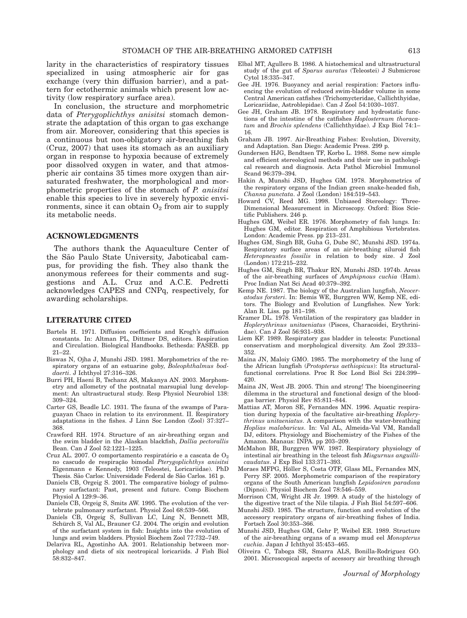larity in the characteristics of respiratory tissues specialized in using atmospheric air for gas exchange (very thin diffusion barrier), and a pattern for ectothermic animals which present low activity (low respiratory surface area).

In conclusion, the structure and morphometric data of Pterygoplichthys anisitsi stomach demonstrate the adaptation of this organ to gas exchange from air. Moreover, considering that this species is a continuous but non-obligatory air-breathing fish (Cruz, 2007) that uses its stomach as an auxiliary organ in response to hypoxia because of extremely poor dissolved oxygen in water, and that atmospheric air contains 35 times more oxygen than airsaturated freshwater, the morphological and morphometric properties of the stomach of P. anisitsi enable this species to live in severely hypoxic environments, since it can obtain  $O_2$  from air to supply its metabolic needs.

#### ACKNOWLEDGMENTS

The authors thank the Aquaculture Center of the São Paulo State University, Jaboticabal campus, for providing the fish. They also thank the anonymous referees for their comments and suggestions and A.L. Cruz and A.C.E. Pedretti acknowledges CAPES and CNPq, respectively, for awarding scholarships.

#### LITERATURE CITED

- Bartels H. 1971. Diffusion coefficients and Krogh's diffusion constants. In: Altman PL, Dittmer DS, editors. Respiration and Circulation. Biological Handbooks. Bethesda: FASEB. pp 21–22.
- Biswas N, Ojha J, Munshi JSD. 1981. Morphometrics of the respiratory organs of an estuarine goby, Boleophthalmus bod $d$ aerti. J Ichthyol 27:316-326.
- Burri PH, Haeni B, Tschanz AS, Makanya AN. 2003. Morphometry and allometry of the postnatal marsupial lung development: An ultrastructural study. Resp Physiol Neurobiol 138: 309–324.
- Carter GS, Beadle LC. 1931. The fauna of the swamps of Paraguayan Chaco in relation to its environment. II. Respiratory adaptations in the fishes. J Linn Soc London (Zool) 37:327– 368.
- Crawford RH. 1974. Structure of an air-breathing organ and the swim bladder in the Alaskan blackfish, Dallia pectorallis Bean. Can J Zool 52:1221–1225.
- Cruz AL. 2007. O comportamento respiratório e a cascata de  $O_2$ no cascudo de respiração bimodal Pterygoplichthys anisitsi Eigenmann e Kennedy, 1903 (Teleostei, Loricariidae). PhD Thesis. São Carlos: Universidade Federal de São Carlos. 161 p.
- Daniels CB, Orgeig S. 2001. The comparative biology of pulmonary surfactant: Past, present and future. Comp Biochem Physiol A 129:9–36.
- Daniels CB, Orgeig S, Smits AW. 1995. The evolution of the vertebrate pulmonary surfactant. Physiol Zool 68:539–566.
- Daniels CB, Orgeig S, Sullivan LC, Ling N, Bennett MB, Schürch S, Val AL, Brauner CJ. 2004. The origin and evolution of the surfactant system in fish: Insights into the evolution of lungs and swim bladders. Physiol Biochem Zool 77:732–749.
- Delariva RL, Agostinho AA. 2001. Relationship between morphology and diets of six neotropical loricariids. J Fish Biol 58:832–847.
- Elbal MT, Agullero B. 1986. A histochemical and ultrastructural study of the gut of Sparus auratus (Teleostei) J Submicrosc Cytol 18:335–347.
- Gee JH. 1976. Buoyancy and aerial respiration: Factors influencing the evolution of reduced swim-bladder volume in some Central American catfishes (Trichomycteridae, Callichthyidae, Loricariidae, Astroblepidae). Can J Zool 54:1030–1037.
- Gee JH, Graham JB. 1978. Respiratory and hydrostatic functions of the intestine of the catfishes Hoplosternum thoracatum and Brochis splendens (Callichthyidae). J Exp Biol 74:1– 16.
- Graham JB. 1997. Air-Breathing Fishes: Evolution, Diversity, and Adaptation. San Diego: Academic Press. 299 p.
- Gundersen HJG, Bendtsen TF, Korbo L. 1988. Some new simple and efficient stereological methods and their use in pathological research and diagnosis. Acta Pathol Microbiol Immunol Scand 96:379–394.
- Hakin A, Munshi JSD, Hughes GM. 1978. Morphometrics of the respiratory organs of the Indian green snake-headed fish, Channa punctata. J Zool (London) 184:519–543.
- Howard CV, Reed MG. 1998. Unbiased Stereology: Three-Dimensional Measurement in Microscopy. Oxford: Bios Scietific Publishers. 246 p.
- Hughes GM, Weibel ER. 1976. Morphometry of fish lungs. In: Hughes GM, editor. Respiration of Amphibious Vertebrates. London: Academic Press. pp 213–231.
- Hughes GM, Singh BR, Guha G, Dube SC, Munshi JSD. 1974a. Respiratory surface areas of an air-breathing siluroid fish Heteropneustes fossilis in relation to body size. J Zool (London) 172:215–232.
- Hughes GM, Singh BR, Thakur RN, Munshi JSD. 1974b. Areas of the air-breathing surfaces of Amphipnous cuchia (Ham). Proc Indian Nat Sci Acad 40:379–392.
- Kemp NE. 1987. The biology of the Australian lungfish, Neoceratodus forsteri. In: Bemis WE, Burggren WW, Kemp NE, editors. The Biology and Evolution of Lungfishes. New York: Alan R. Liss. pp 181–198.
- Kramer DL. 1978. Ventilation of the respiratory gas bladder in Hoplerythrinus unitaeniatus (Pisces, Characoidei, Erythrinidae). Can J Zool 56:931–938.
- Liem KF. 1989. Respiratory gas bladder in teleosts: Functional conservatism and morphological diversity. Am Zool 29:333– 352.
- Maina JN, Maloiy GMO. 1985. The morphometry of the lung of the African lungfish (Protopterus aethiopicus): Its structuralfunctional correlations. Proc R Soc Lond Biol Sci 224:399– 420.
- Maina JN, West JB. 2005. Thin and strong! The bioengineering dilemma in the structural and functional design of the bloodgas barrier. Physiol Rev 85:811–844.
- Mattias AT, Moron SE, Fernandes MN. 1996. Aquatic respiration during hypoxia of the facultative air-breathing Hoplerythrinus unitaeniatus. A comparison with the water-breathing Hoplias malabaricus. In: Val AL, Almeida-Val VM, Randall DJ, editors. Physiology and Biochemistry of the Fishes of the Amazon. Manaus: INPA. pp 203–209.
- McMahon BR, Burggren WW. 1987. Respiratory physiology of intestinal air breathing in the teleost fish Misgurnus anguillicaudatus. J Exp Biol 133:371–393.
- Moraes MFPG, Höller S, Costa OTF, Glass ML, Fernandes MN, Perry SF. 2005. Morphometric comparison of the respiratory organs of the South American lungfish Lepidosiren paradoxa (Dipnoi). Physiol Biochem Zool 78:546–559.
- Morrison CM, Wright JR Jr. 1999. A study of the histology of the digestive tract of the Nile tilapia. J Fish Biol 54:597–606.
- Munshi JSD. 1985. The structure, function and evolution of the accessory respiratory organs of air-breathing fishes of India. Fortsch Zool 30:353–366.
- Munshi JSD, Hughes GM, Gehr P, Weibel ER. 1989. Structure of the air-breathing organs of a swamp mud eel Monopterus cuchia. Japan J Ichthyol 35:453–465.
- Oliveira C, Taboga SR, Smarra ALS, Bonilla-Rodriguez GO. 2001. Microscopical aspects of acessory air breathing through